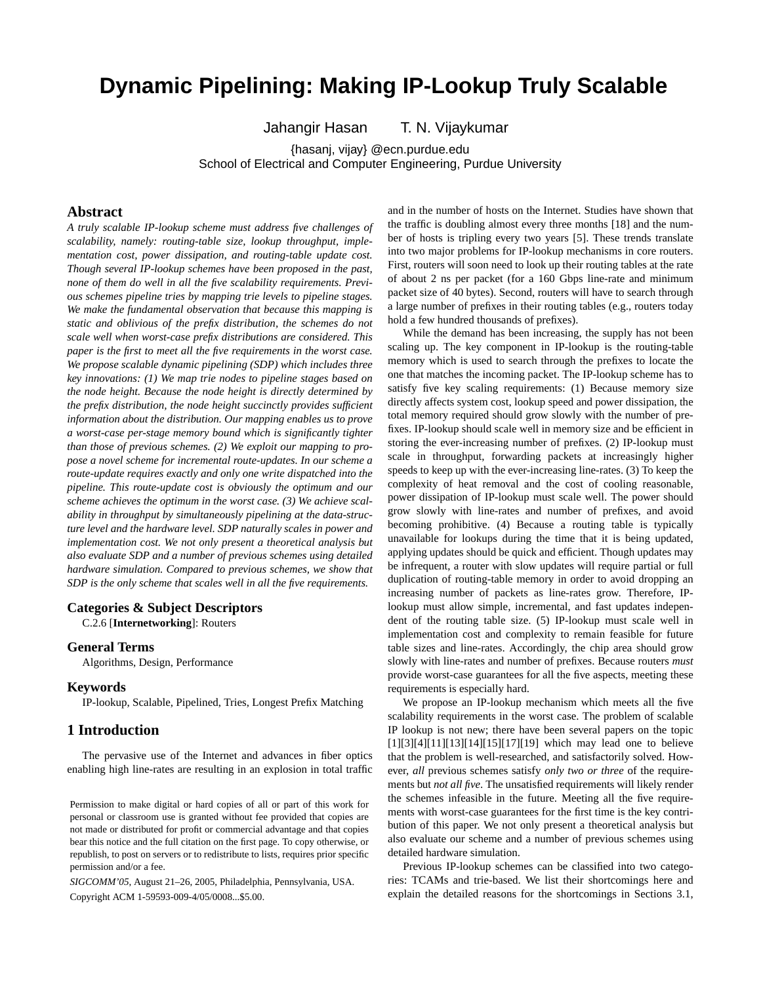# **Dynamic Pipelining: Making IP-Lookup Truly Scalable**

Jahangir Hasan T. N. Vijaykumar

{hasanj, vijay} @ecn.purdue.edu School of Electrical and Computer Engineering, Purdue University

# **Abstract**

*A truly scalable IP-lookup scheme must address five challenges of scalability, namely: routing-table size, lookup throughput, implementation cost, power dissipation, and routing-table update cost. Though several IP-lookup schemes have been proposed in the past, none of them do well in all the five scalability requirements. Previous schemes pipeline tries by mapping trie levels to pipeline stages. We make the fundamental observation that because this mapping is static and oblivious of the prefix distribution, the schemes do not scale well when worst-case prefix distributions are considered. This paper is the first to meet all the five requirements in the worst case. We propose scalable dynamic pipelining (SDP) which includes three key innovations: (1) We map trie nodes to pipeline stages based on the node height. Because the node height is directly determined by the prefix distribution, the node height succinctly provides sufficient information about the distribution. Our mapping enables us to prove a worst-case per-stage memory bound which is significantly tighter than those of previous schemes. (2) We exploit our mapping to propose a novel scheme for incremental route-updates. In our scheme a route-update requires exactly and only one write dispatched into the pipeline. This route-update cost is obviously the optimum and our scheme achieves the optimum in the worst case. (3) We achieve scalability in throughput by simultaneously pipelining at the data-structure level and the hardware level. SDP naturally scales in power and implementation cost. We not only present a theoretical analysis but also evaluate SDP and a number of previous schemes using detailed hardware simulation. Compared to previous schemes, we show that SDP is the only scheme that scales well in all the five requirements.*

# **Categories & Subject Descriptors**

C.2.6 [**Internetworking**]: Routers

### **General Terms**

Algorithms, Design, Performance

### **Keywords**

IP-lookup, Scalable, Pipelined, Tries, Longest Prefix Matching

# **1 Introduction**

The pervasive use of the Internet and advances in fiber optics enabling high line-rates are resulting in an explosion in total traffic

*SIGCOMM'05*, August 21–26, 2005, Philadelphia, Pennsylvania, USA. Copyright ACM 1-59593-009-4/05/0008...\$5.00.

and in the number of hosts on the Internet. Studies have shown that the traffic is doubling almost every three months [\[18\]](#page-11-0) and the number of hosts is tripling every two years [\[5\].](#page-11-1) These trends translate into two major problems for IP-lookup mechanisms in core routers. First, routers will soon need to look up their routing tables at the rate of about 2 ns per packet (for a 160 Gbps line-rate and minimum packet size of 40 bytes). Second, routers will have to search through a large number of prefixes in their routing tables (e.g., routers today hold a few hundred thousands of prefixes).

While the demand has been increasing, the supply has not been scaling up. The key component in IP-lookup is the routing-table memory which is used to search through the prefixes to locate the one that matches the incoming packet. The IP-lookup scheme has to satisfy five key scaling requirements: (1) Because memory size directly affects system cost, lookup speed and power dissipation, the total memory required should grow slowly with the number of prefixes. IP-lookup should scale well in memory size and be efficient in storing the ever-increasing number of prefixes. (2) IP-lookup must scale in throughput, forwarding packets at increasingly higher speeds to keep up with the ever-increasing line-rates. (3) To keep the complexity of heat removal and the cost of cooling reasonable, power dissipation of IP-lookup must scale well. The power should grow slowly with line-rates and number of prefixes, and avoid becoming prohibitive. (4) Because a routing table is typically unavailable for lookups during the time that it is being updated, applying updates should be quick and efficient. Though updates may be infrequent, a router with slow updates will require partial or full duplication of routing-table memory in order to avoid dropping an increasing number of packets as line-rates grow. Therefore, IPlookup must allow simple, incremental, and fast updates independent of the routing table size. (5) IP-lookup must scale well in implementation cost and complexity to remain feasible for future table sizes and line-rates. Accordingly, the chip area should grow slowly with line-rates and number of prefixes. Because routers *must* provide worst-case guarantees for all the five aspects, meeting these requirements is especially hard.

We propose an IP-lookup mechanism which meets all the five scalability requirements in the worst case. The problem of scalable IP lookup is not new; there have been several papers on the topic [\[1\]](#page-11-2)[\[3\]](#page-11-3)[\[4\]](#page-11-4)[\[11\]](#page-11-5)[\[13\]](#page-11-6)[\[14\]](#page-11-7)[\[15\]](#page-11-8)[\[17\]](#page-11-9)[\[19\]](#page-11-10) which may lead one to believe that the problem is well-researched, and satisfactorily solved. However, *all* previous schemes satisfy *only two or three* of the requirements but *not all five*. The unsatisfied requirements will likely render the schemes infeasible in the future. Meeting all the five requirements with worst-case guarantees for the first time is the key contribution of this paper. We not only present a theoretical analysis but also evaluate our scheme and a number of previous schemes using detailed hardware simulation.

Previous IP-lookup schemes can be classified into two categories: TCAMs and trie-based. We list their shortcomings here and explain the detailed reasons for the shortcomings in Sections [3.1,](#page-3-0)

Permission to make digital or hard copies of all or part of this work for personal or classroom use is granted without fee provided that copies are not made or distributed for profit or commercial advantage and that copies bear this notice and the full citation on the first page. To copy otherwise, or republish, to post on servers or to redistribute to lists, requires prior specific permission and/or a fee.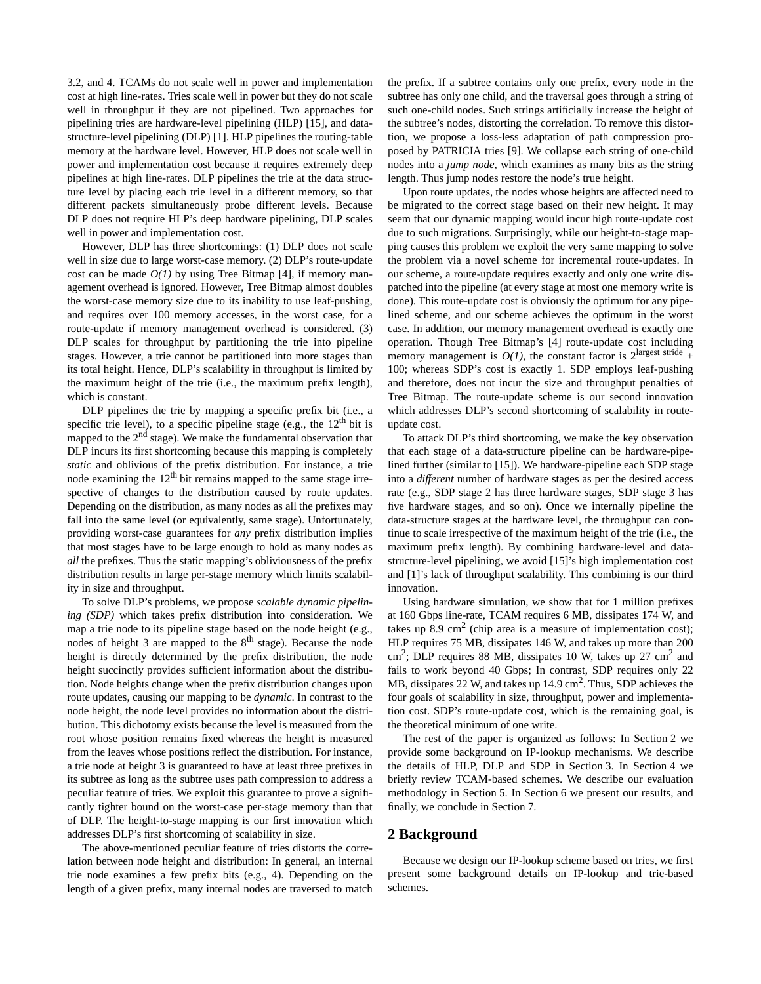[3.2](#page-3-1), and [4.](#page-8-0) TCAMs do not scale well in power and implementation cost at high line-rates. Tries scale well in power but they do not scale well in throughput if they are not pipelined. Two approaches for pipelining tries are hardware-level pipelining (HLP) [\[15\]](#page-11-8), and datastructure-level pipelining (DLP) [\[1\]](#page-11-2). HLP pipelines the routing-table memory at the hardware level. However, HLP does not scale well in power and implementation cost because it requires extremely deep pipelines at high line-rates. DLP pipelines the trie at the data structure level by placing each trie level in a different memory, so that different packets simultaneously probe different levels. Because DLP does not require HLP's deep hardware pipelining, DLP scales well in power and implementation cost.

However, DLP has three shortcomings: (1) DLP does not scale well in size due to large worst-case memory. (2) DLP's route-update cost can be made  $O(1)$  by using Tree Bitmap [\[4\],](#page-11-4) if memory management overhead is ignored. However, Tree Bitmap almost doubles the worst-case memory size due to its inability to use leaf-pushing, and requires over 100 memory accesses, in the worst case, for a route-update if memory management overhead is considered. (3) DLP scales for throughput by partitioning the trie into pipeline stages. However, a trie cannot be partitioned into more stages than its total height. Hence, DLP's scalability in throughput is limited by the maximum height of the trie (i.e., the maximum prefix length), which is constant.

DLP pipelines the trie by mapping a specific prefix bit (i.e., a specific trie level), to a specific pipeline stage (e.g., the  $12<sup>th</sup>$  bit is mapped to the  $2<sup>nd</sup>$  stage). We make the fundamental observation that DLP incurs its first shortcoming because this mapping is completely *static* and oblivious of the prefix distribution. For instance, a trie node examining the  $12<sup>th</sup>$  bit remains mapped to the same stage irrespective of changes to the distribution caused by route updates. Depending on the distribution, as many nodes as all the prefixes may fall into the same level (or equivalently, same stage). Unfortunately, providing worst-case guarantees for *any* prefix distribution implies that most stages have to be large enough to hold as many nodes as *all* the prefixes. Thus the static mapping's obliviousness of the prefix distribution results in large per-stage memory which limits scalability in size and throughput.

To solve DLP's problems, we propose *scalable dynamic pipelining (SDP)* which takes prefix distribution into consideration. We map a trie node to its pipeline stage based on the node height (e.g., nodes of height 3 are mapped to the 8<sup>th</sup> stage). Because the node height is directly determined by the prefix distribution, the node height succinctly provides sufficient information about the distribution. Node heights change when the prefix distribution changes upon route updates, causing our mapping to be *dynamic*. In contrast to the node height, the node level provides no information about the distribution. This dichotomy exists because the level is measured from the root whose position remains fixed whereas the height is measured from the leaves whose positions reflect the distribution. For instance, a trie node at height 3 is guaranteed to have at least three prefixes in its subtree as long as the subtree uses path compression to address a peculiar feature of tries. We exploit this guarantee to prove a significantly tighter bound on the worst-case per-stage memory than that of DLP. The height-to-stage mapping is our first innovation which addresses DLP's first shortcoming of scalability in size.

The above-mentioned peculiar feature of tries distorts the correlation between node height and distribution: In general, an internal trie node examines a few prefix bits (e.g., 4). Depending on the length of a given prefix, many internal nodes are traversed to match the prefix. If a subtree contains only one prefix, every node in the subtree has only one child, and the traversal goes through a string of such one-child nodes. Such strings artificially increase the height of the subtree's nodes, distorting the correlation. To remove this distortion, we propose a loss-less adaptation of path compression proposed by PATRICIA tries [\[9\]](#page-11-11). We collapse each string of one-child nodes into a *jump node*, which examines as many bits as the string length. Thus jump nodes restore the node's true height.

Upon route updates, the nodes whose heights are affected need to be migrated to the correct stage based on their new height. It may seem that our dynamic mapping would incur high route-update cost due to such migrations. Surprisingly, while our height-to-stage mapping causes this problem we exploit the very same mapping to solve the problem via a novel scheme for incremental route-updates. In our scheme, a route-update requires exactly and only one write dispatched into the pipeline (at every stage at most one memory write is done). This route-update cost is obviously the optimum for any pipelined scheme, and our scheme achieves the optimum in the worst case. In addition, our memory management overhead is exactly one operation. Though Tree Bitmap's [\[4\]](#page-11-4) route-update cost including memory management is  $O(1)$ , the constant factor is  $2^{\text{largest stride}}$  + 100; whereas SDP's cost is exactly 1. SDP employs leaf-pushing and therefore, does not incur the size and throughput penalties of Tree Bitmap. The route-update scheme is our second innovation which addresses DLP's second shortcoming of scalability in routeupdate cost.

To attack DLP's third shortcoming, we make the key observation that each stage of a data-structure pipeline can be hardware-pipelined further (similar to [\[15\]](#page-11-8)). We hardware-pipeline each SDP stage into a *different* number of hardware stages as per the desired access rate (e.g., SDP stage 2 has three hardware stages, SDP stage 3 has five hardware stages, and so on). Once we internally pipeline the data-structure stages at the hardware level, the throughput can continue to scale irrespective of the maximum height of the trie (i.e., the maximum prefix length). By combining hardware-level and datastructure-level pipelining, we avoid [\[15\]'](#page-11-8)s high implementation cost and [\[1\]](#page-11-2)'s lack of throughput scalability. This combining is our third innovation.

Using hardware simulation, we show that for 1 million prefixes at 160 Gbps line-rate, TCAM requires 6 MB, dissipates 174 W, and takes up 8.9 cm<sup>2</sup> (chip area is a measure of implementation cost); HLP requires 75 MB, dissipates 146 W, and takes up more than 200  $\text{cm}^2$ ; DLP requires 88 MB, dissipates 10 W, takes up 27 cm<sup>2</sup> and fails to work beyond 40 Gbps; In contrast, SDP requires only 22 MB, dissipates 22 W, and takes up  $14.9 \text{ cm}^2$ . Thus, SDP achieves the four goals of scalability in size, throughput, power and implementation cost. SDP's route-update cost, which is the remaining goal, is the theoretical minimum of one write.

The rest of the paper is organized as follows: In [Section 2](#page-1-0) we provide some background on IP-lookup mechanisms. We describe the details of HLP, DLP and SDP in [Section 3.](#page-2-0) In [Section 4](#page-8-0) we briefly review TCAM-based schemes. We describe our evaluation methodology in [Section 5](#page-8-1). In [Section 6](#page-8-2) we present our results, and finally, we conclude in [Section 7.](#page-11-12)

# <span id="page-1-0"></span>**2 Background**

Because we design our IP-lookup scheme based on tries, we first present some background details on IP-lookup and trie-based schemes.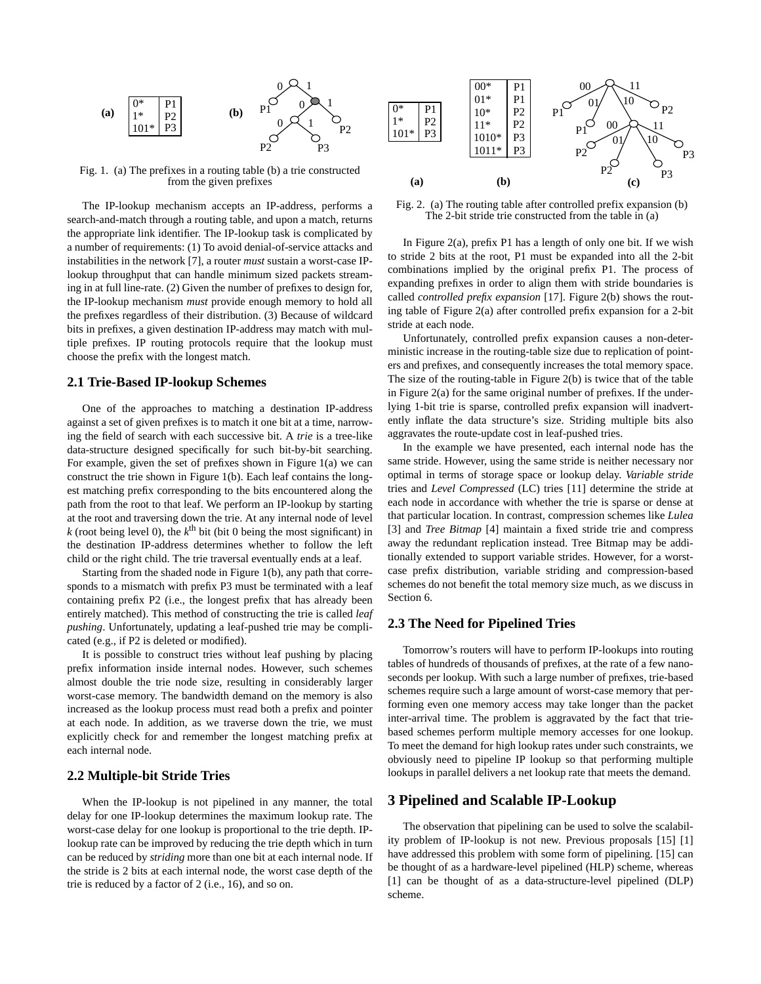

<span id="page-2-1"></span>Fig. 1. (a) The prefixes in a routing table (b) a trie constructed from the given prefixes

The IP-lookup mechanism accepts an IP-address, performs a search-and-match through a routing table, and upon a match, returns the appropriate link identifier. The IP-lookup task is complicated by a number of requirements: (1) To avoid denial-of-service attacks and instabilities in the network [\[7\],](#page-11-13) a router *must* sustain a worst-case IPlookup throughput that can handle minimum sized packets streaming in at full line-rate. (2) Given the number of prefixes to design for, the IP-lookup mechanism *must* provide enough memory to hold all the prefixes regardless of their distribution. (3) Because of wildcard bits in prefixes, a given destination IP-address may match with multiple prefixes. IP routing protocols require that the lookup must choose the prefix with the longest match.

# <span id="page-2-3"></span>**2.1 Trie-Based IP-lookup Schemes**

One of the approaches to matching a destination IP-address against a set of given prefixes is to match it one bit at a time, narrowing the field of search with each successive bit. A *trie* is a tree-like data-structure designed specifically for such bit-by-bit searching. For example, given the set of prefixes shown in [Figure 1](#page-2-1)(a) we can construct the trie shown in [Figure 1](#page-2-1)(b). Each leaf contains the longest matching prefix corresponding to the bits encountered along the path from the root to that leaf. We perform an IP-lookup by starting at the root and traversing down the trie. At any internal node of level  $k$  (root being level 0), the  $k^{\text{th}}$  bit (bit 0 being the most significant) in the destination IP-address determines whether to follow the left child or the right child. The trie traversal eventually ends at a leaf.

Starting from the shaded node in [Figure 1](#page-2-1)(b), any path that corresponds to a mismatch with prefix P3 must be terminated with a leaf containing prefix P2 (i.e., the longest prefix that has already been entirely matched). This method of constructing the trie is called *leaf pushing*. Unfortunately, updating a leaf-pushed trie may be complicated (e.g., if P2 is deleted or modified).

It is possible to construct tries without leaf pushing by placing prefix information inside internal nodes. However, such schemes almost double the trie node size, resulting in considerably larger worst-case memory. The bandwidth demand on the memory is also increased as the lookup process must read both a prefix and pointer at each node. In addition, as we traverse down the trie, we must explicitly check for and remember the longest matching prefix at each internal node.

# <span id="page-2-4"></span>**2.2 Multiple-bit Stride Tries**

When the IP-lookup is not pipelined in any manner, the total delay for one IP-lookup determines the maximum lookup rate. The worst-case delay for one lookup is proportional to the trie depth. IPlookup rate can be improved by reducing the trie depth which in turn can be reduced by *striding* more than one bit at each internal node. If the stride is 2 bits at each internal node, the worst case depth of the trie is reduced by a factor of 2 (i.e., 16), and so on.



<span id="page-2-2"></span>Fig. 2. (a) The routing table after controlled prefix expansion (b) The 2-bit stride trie constructed from the table in (a)

In Figure  $2(a)$ , prefix P1 has a length of only one bit. If we wish to stride 2 bits at the root, P1 must be expanded into all the 2-bit combinations implied by the original prefix P1. The process of expanding prefixes in order to align them with stride boundaries is called *controlled prefix expansion* [\[17\].](#page-11-9) [Figure 2](#page-2-2)(b) shows the routing table of [Figure 2](#page-2-2)(a) after controlled prefix expansion for a 2-bit stride at each node.

Unfortunately, controlled prefix expansion causes a non-deterministic increase in the routing-table size due to replication of pointers and prefixes, and consequently increases the total memory space. The size of the routing-table in [Figure 2](#page-2-2)(b) is twice that of the table in [Figure 2\(](#page-2-2)a) for the same original number of prefixes. If the underlying 1-bit trie is sparse, controlled prefix expansion will inadvertently inflate the data structure's size. Striding multiple bits also aggravates the route-update cost in leaf-pushed tries.

In the example we have presented, each internal node has the same stride. However, using the same stride is neither necessary nor optimal in terms of storage space or lookup delay. *Variable stride* tries and *Level Compressed* (LC) tries [\[11\]](#page-11-5) determine the stride at each node in accordance with whether the trie is sparse or dense at that particular location. In contrast, compression schemes like *Lulea* [\[3\]](#page-11-3) and *Tree Bitmap* [\[4\]](#page-11-4) maintain a fixed stride trie and compress away the redundant replication instead. Tree Bitmap may be additionally extended to support variable strides. However, for a worstcase prefix distribution, variable striding and compression-based schemes do not benefit the total memory size much, as we discuss in [Section 6.](#page-8-2)

# **2.3 The Need for Pipelined Tries**

Tomorrow's routers will have to perform IP-lookups into routing tables of hundreds of thousands of prefixes, at the rate of a few nanoseconds per lookup. With such a large number of prefixes, trie-based schemes require such a large amount of worst-case memory that performing even one memory access may take longer than the packet inter-arrival time. The problem is aggravated by the fact that triebased schemes perform multiple memory accesses for one lookup. To meet the demand for high lookup rates under such constraints, we obviously need to pipeline IP lookup so that performing multiple lookups in parallel delivers a net lookup rate that meets the demand.

# <span id="page-2-0"></span>**3 Pipelined and Scalable IP-Lookup**

The observation that pipelining can be used to solve the scalability problem of IP-lookup is not new. Previous proposals [\[15\]](#page-11-8) [\[1\]](#page-11-2) have addressed this problem with some form of pipelining. [\[15\]](#page-11-8) can be thought of as a hardware-level pipelined (HLP) scheme, whereas [\[1\]](#page-11-2) can be thought of as a data-structure-level pipelined (DLP) scheme.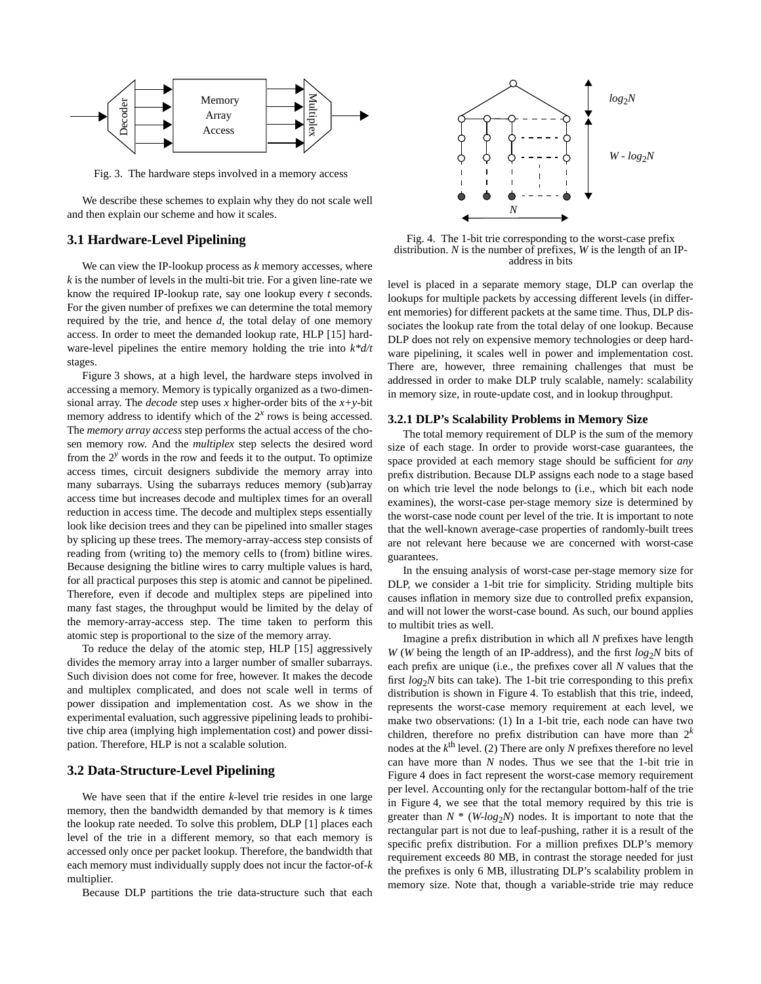

Fig. 3. The hardware steps involved in a memory access

<span id="page-3-2"></span>We describe these schemes to explain why they do not scale well and then explain our scheme and how it scales.

# <span id="page-3-0"></span>**3.1 Hardware-Level Pipelining**

We can view the IP-lookup process as *k* memory accesses, where *k* is the number of levels in the multi-bit trie. For a given line-rate we know the required IP-lookup rate, say one lookup every *t* seconds. For the given number of prefixes we can determine the total memory required by the trie, and hence *d*, the total delay of one memory access. In order to meet the demanded lookup rate, HLP [\[15\]](#page-11-8) hardware-level pipelines the entire memory holding the trie into *k\*d/t* stages.

[Figure 3](#page-3-2) shows, at a high level, the hardware steps involved in accessing a memory. Memory is typically organized as a two-dimensional array. The *decode* step uses *x* higher-order bits of the *x+y-*bit memory address to identify which of the  $2<sup>x</sup>$  rows is being accessed. The *memory array access* step performs the actual access of the chosen memory row. And the *multiplex* step selects the desired word from the 2*<sup>y</sup>* words in the row and feeds it to the output. To optimize access times, circuit designers subdivide the memory array into many subarrays. Using the subarrays reduces memory (sub)array access time but increases decode and multiplex times for an overall reduction in access time. The decode and multiplex steps essentially look like decision trees and they can be pipelined into smaller stages by splicing up these trees. The memory-array-access step consists of reading from (writing to) the memory cells to (from) bitline wires. Because designing the bitline wires to carry multiple values is hard, for all practical purposes this step is atomic and cannot be pipelined. Therefore, even if decode and multiplex steps are pipelined into many fast stages, the throughput would be limited by the delay of the memory-array-access step. The time taken to perform this atomic step is proportional to the size of the memory array.

To reduce the delay of the atomic step, HLP [\[15\]](#page-11-8) aggressively divides the memory array into a larger number of smaller subarrays. Such division does not come for free, however. It makes the decode and multiplex complicated, and does not scale well in terms of power dissipation and implementation cost. As we show in the experimental evaluation, such aggressive pipelining leads to prohibitive chip area (implying high implementation cost) and power dissipation. Therefore, HLP is not a scalable solution.

# <span id="page-3-1"></span>**3.2 Data-Structure-Level Pipelining**

We have seen that if the entire *k*-level trie resides in one large memory, then the bandwidth demanded by that memory is *k* times the lookup rate needed. To solve this problem, DLP [\[1\]](#page-11-2) places each level of the trie in a different memory, so that each memory is accessed only once per packet lookup. Therefore, the bandwidth that each memory must individually supply does not incur the factor-of-*k* multiplier.

Because DLP partitions the trie data-structure such that each



<span id="page-3-3"></span>Fig. 4. The 1-bit trie corresponding to the worst-case prefix distribution. *N* is the number of prefixes, *W* is the length of an IPaddress in bits

level is placed in a separate memory stage, DLP can overlap the lookups for multiple packets by accessing different levels (in different memories) for different packets at the same time. Thus, DLP dissociates the lookup rate from the total delay of one lookup. Because DLP does not rely on expensive memory technologies or deep hardware pipelining, it scales well in power and implementation cost. There are, however, three remaining challenges that must be addressed in order to make DLP truly scalable, namely: scalability in memory size, in route-update cost, and in lookup throughput.

### <span id="page-3-4"></span>**3.2.1 DLP's Scalability Problems in Memory Size**

The total memory requirement of DLP is the sum of the memory size of each stage. In order to provide worst-case guarantees, the space provided at each memory stage should be sufficient for *any* prefix distribution. Because DLP assigns each node to a stage based on which trie level the node belongs to (i.e., which bit each node examines), the worst-case per-stage memory size is determined by the worst-case node count per level of the trie. It is important to note that the well-known average-case properties of randomly-built trees are not relevant here because we are concerned with worst-case guarantees.

In the ensuing analysis of worst-case per-stage memory size for DLP, we consider a 1-bit trie for simplicity. Striding multiple bits causes inflation in memory size due to controlled prefix expansion, and will not lower the worst-case bound. As such, our bound applies to multibit tries as well.

Imagine a prefix distribution in which all *N* prefixes have length *W* (*W* being the length of an IP-address), and the first  $log_2 N$  bits of each prefix are unique (i.e., the prefixes cover all *N* values that the first  $log_2N$  bits can take). The 1-bit trie corresponding to this prefix distribution is shown in [Figure 4](#page-3-3). To establish that this trie, indeed, represents the worst-case memory requirement at each level, we make two observations: (1) In a 1-bit trie, each node can have two children, therefore no prefix distribution can have more than  $2^k$ nodes at the  $k^{\text{th}}$  level. (2) There are only *N* prefixes therefore no level can have more than *N* nodes. Thus we see that the 1-bit trie in [Figure 4](#page-3-3) does in fact represent the worst-case memory requirement per level. Accounting only for the rectangular bottom-half of the trie in [Figure 4](#page-3-3), we see that the total memory required by this trie is greater than  $N$ <sup>\*</sup> (*W*-*log*<sub>2</sub> $N$ ) nodes. It is important to note that the rectangular part is not due to leaf-pushing, rather it is a result of the specific prefix distribution. For a million prefixes DLP's memory requirement exceeds 80 MB, in contrast the storage needed for just the prefixes is only 6 MB, illustrating DLP's scalability problem in memory size. Note that, though a variable-stride trie may reduce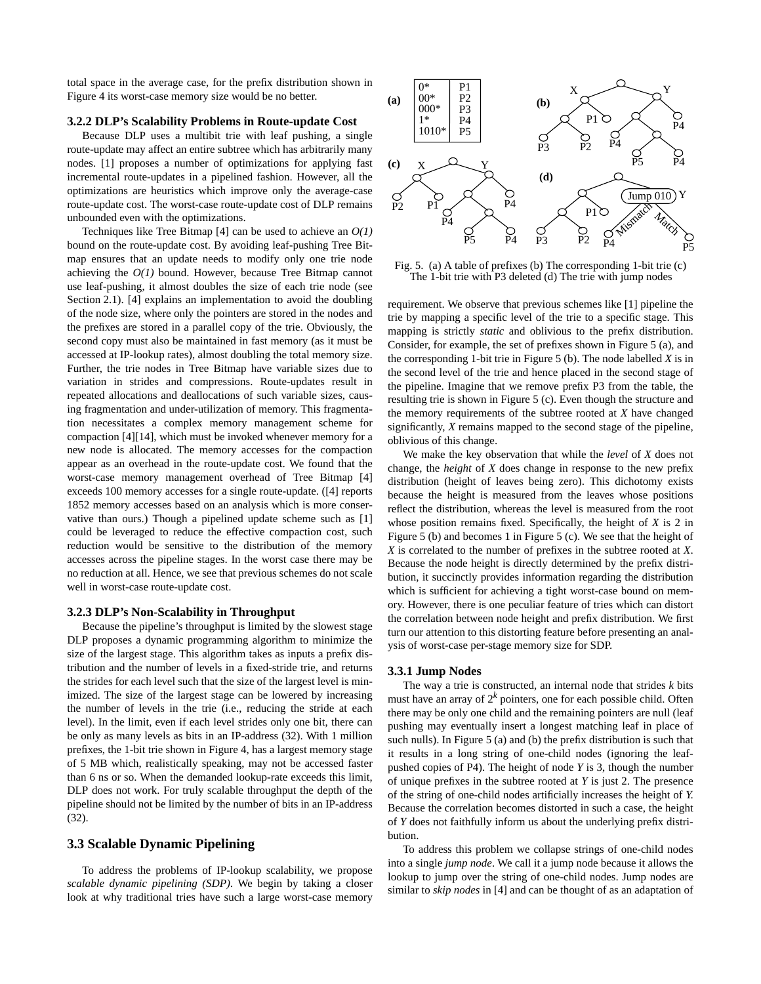total space in the average case, for the prefix distribution shown in [Figure 4](#page-3-3) its worst-case memory size would be no better.

### <span id="page-4-4"></span>**3.2.2 DLP's Scalability Problems in Route-update Cost**

Because DLP uses a multibit trie with leaf pushing, a single route-update may affect an entire subtree which has arbitrarily many nodes. [\[1\]](#page-11-2) proposes a number of optimizations for applying fast incremental route-updates in a pipelined fashion. However, all the optimizations are heuristics which improve only the average-case route-update cost. The worst-case route-update cost of DLP remains unbounded even with the optimizations.

Techniques like Tree Bitmap [\[4\]](#page-11-4) can be used to achieve an *O(1)* bound on the route-update cost. By avoiding leaf-pushing Tree Bitmap ensures that an update needs to modify only one trie node achieving the *O(1)* bound. However, because Tree Bitmap cannot use leaf-pushing, it almost doubles the size of each trie node (see [Section 2.1](#page-2-3)). [\[4\]](#page-11-4) explains an implementation to avoid the doubling of the node size, where only the pointers are stored in the nodes and the prefixes are stored in a parallel copy of the trie. Obviously, the second copy must also be maintained in fast memory (as it must be accessed at IP-lookup rates), almost doubling the total memory size. Further, the trie nodes in Tree Bitmap have variable sizes due to variation in strides and compressions. Route-updates result in repeated allocations and deallocations of such variable sizes, causing fragmentation and under-utilization of memory. This fragmentation necessitates a complex memory management scheme for compaction [\[4\]](#page-11-4)[\[14\],](#page-11-7) which must be invoked whenever memory for a new node is allocated. The memory accesses for the compaction appear as an overhead in the route-update cost. We found that the worst-case memory management overhead of Tree Bitmap [\[4\]](#page-11-4) exceeds 100 memory accesses for a single route-update. [\(\[4\]](#page-11-4) reports 1852 memory accesses based on an analysis which is more conservative than ours.) Though a pipelined update scheme such as [\[1\]](#page-11-2) could be leveraged to reduce the effective compaction cost, such reduction would be sensitive to the distribution of the memory accesses across the pipeline stages. In the worst case there may be no reduction at all. Hence, we see that previous schemes do not scale well in worst-case route-update cost.

### <span id="page-4-3"></span>**3.2.3 DLP's Non-Scalability in Throughput**

Because the pipeline's throughput is limited by the slowest stage DLP proposes a dynamic programming algorithm to minimize the size of the largest stage. This algorithm takes as inputs a prefix distribution and the number of levels in a fixed-stride trie, and returns the strides for each level such that the size of the largest level is minimized. The size of the largest stage can be lowered by increasing the number of levels in the trie (i.e., reducing the stride at each level). In the limit, even if each level strides only one bit, there can be only as many levels as bits in an IP-address (32). With 1 million prefixes, the 1-bit trie shown in [Figure 4](#page-3-3), has a largest memory stage of 5 MB which, realistically speaking, may not be accessed faster than 6 ns or so. When the demanded lookup-rate exceeds this limit, DLP does not work. For truly scalable throughput the depth of the pipeline should not be limited by the number of bits in an IP-address (32).

# <span id="page-4-1"></span>**3.3 Scalable Dynamic Pipelining**

To address the problems of IP-lookup scalability, we propose *scalable dynamic pipelining (SDP)*. We begin by taking a closer look at why traditional tries have such a large worst-case memory



<span id="page-4-0"></span>Fig. 5. (a) A table of prefixes (b) The corresponding 1-bit trie (c) The 1-bit trie with P3 deleted (d) The trie with jump nodes

requirement. We observe that previous schemes like [\[1\]](#page-11-2) pipeline the trie by mapping a specific level of the trie to a specific stage. This mapping is strictly *static* and oblivious to the prefix distribution. Consider, for example, the set of prefixes shown in [Figure 5](#page-4-0) (a), and the corresponding 1-bit trie in [Figure 5](#page-4-0) (b). The node labelled *X* is in the second level of the trie and hence placed in the second stage of the pipeline. Imagine that we remove prefix P3 from the table, the resulting trie is shown in Figure 5 (c). Even though the structure and the memory requirements of the subtree rooted at *X* have changed significantly, *X* remains mapped to the second stage of the pipeline, oblivious of this change.

We make the key observation that while the *level* of *X* does not change, the *height* of *X* does change in response to the new prefix distribution (height of leaves being zero). This dichotomy exists because the height is measured from the leaves whose positions reflect the distribution, whereas the level is measured from the root whose position remains fixed. Specifically, the height of *X* is 2 in Figure 5 (b) and becomes 1 in Figure 5 (c). We see that the height of *X* is correlated to the number of prefixes in the subtree rooted at *X*. Because the node height is directly determined by the prefix distribution, it succinctly provides information regarding the distribution which is sufficient for achieving a tight worst-case bound on memory. However, there is one peculiar feature of tries which can distort the correlation between node height and prefix distribution. We first turn our attention to this distorting feature before presenting an analysis of worst-case per-stage memory size for SDP.

#### <span id="page-4-2"></span>**3.3.1 Jump Nodes**

The way a trie is constructed, an internal node that strides *k* bits must have an array of  $2^k$  pointers, one for each possible child. Often there may be only one child and the remaining pointers are null (leaf pushing may eventually insert a longest matching leaf in place of such nulls). In [Figure 5](#page-4-0) (a) and (b) the prefix distribution is such that it results in a long string of one-child nodes (ignoring the leafpushed copies of P4). The height of node *Y* is 3, though the number of unique prefixes in the subtree rooted at *Y* is just 2. The presence of the string of one-child nodes artificially increases the height of *Y*. Because the correlation becomes distorted in such a case, the height of *Y* does not faithfully inform us about the underlying prefix distribution.

To address this problem we collapse strings of one-child nodes into a single *jump node*. We call it a jump node because it allows the lookup to jump over the string of one-child nodes. Jump nodes are similar to *skip nodes* in [\[4\]](#page-11-4) and can be thought of as an adaptation of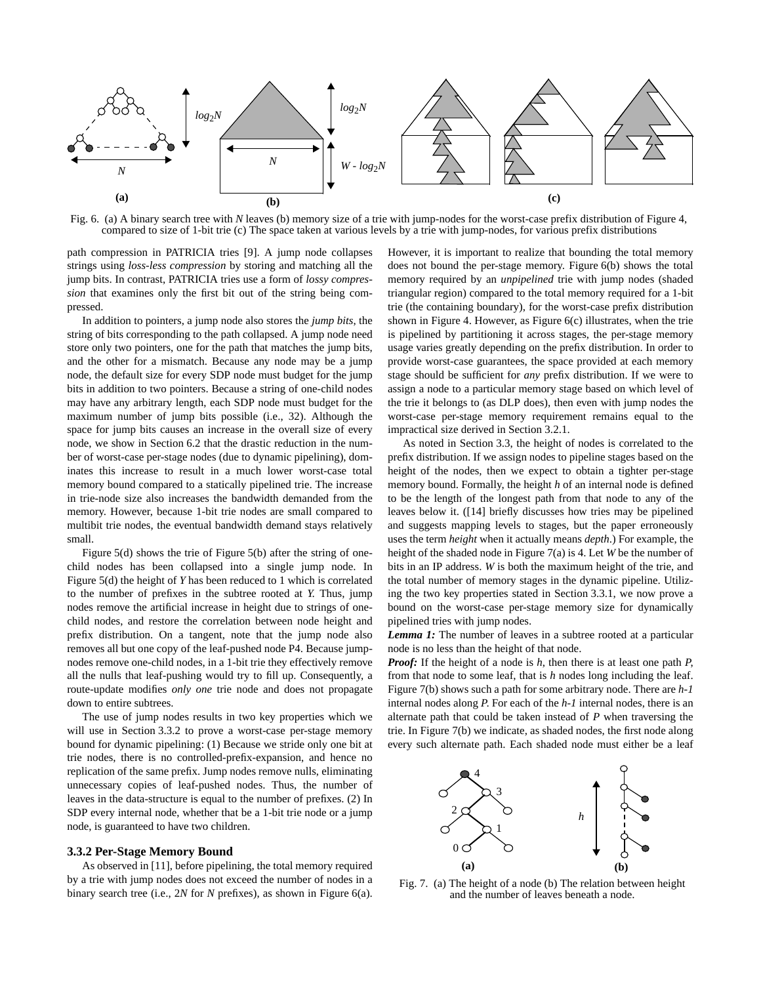

<span id="page-5-1"></span>Fig. 6. (a) A binary search tree with *N* leaves (b) memory size of a trie with jump-nodes for the worst-case prefix distribution of [Figure 4,](#page-3-3) compared to size of 1-bit trie (c) The space taken at various levels by a trie with jump-nodes, for various prefix distributions

path compression in PATRICIA tries [\[9\].](#page-11-11) A jump node collapses strings using *loss-less compression* by storing and matching all the jump bits. In contrast, PATRICIA tries use a form of *lossy compression* that examines only the first bit out of the string being compressed.

In addition to pointers, a jump node also stores the *jump bits*, the string of bits corresponding to the path collapsed. A jump node need store only two pointers, one for the path that matches the jump bits, and the other for a mismatch. Because any node may be a jump node, the default size for every SDP node must budget for the jump bits in addition to two pointers. Because a string of one-child nodes may have any arbitrary length, each SDP node must budget for the maximum number of jump bits possible (i.e., 32). Although the space for jump bits causes an increase in the overall size of every node, we show in [Section 6.2](#page-9-0) that the drastic reduction in the number of worst-case per-stage nodes (due to dynamic pipelining), dominates this increase to result in a much lower worst-case total memory bound compared to a statically pipelined trie. The increase in trie-node size also increases the bandwidth demanded from the memory. However, because 1-bit trie nodes are small compared to multibit trie nodes, the eventual bandwidth demand stays relatively small.

[Figure 5](#page-4-0)(d) shows the trie of [Figure 5\(](#page-4-0)b) after the string of onechild nodes has been collapsed into a single jump node. In [Figure 5](#page-4-0)(d) the height of *Y* has been reduced to 1 which is correlated to the number of prefixes in the subtree rooted at *Y*. Thus, jump nodes remove the artificial increase in height due to strings of onechild nodes, and restore the correlation between node height and prefix distribution. On a tangent, note that the jump node also removes all but one copy of the leaf-pushed node P4. Because jumpnodes remove one-child nodes, in a 1-bit trie they effectively remove all the nulls that leaf-pushing would try to fill up. Consequently, a route-update modifies *only one* trie node and does not propagate down to entire subtrees.

The use of jump nodes results in two key properties which we will use in [Section 3.3.2](#page-5-0) to prove a worst-case per-stage memory bound for dynamic pipelining: (1) Because we stride only one bit at trie nodes, there is no controlled-prefix-expansion, and hence no replication of the same prefix. Jump nodes remove nulls, eliminating unnecessary copies of leaf-pushed nodes. Thus, the number of leaves in the data-structure is equal to the number of prefixes. (2) In SDP every internal node, whether that be a 1-bit trie node or a jump node, is guaranteed to have two children.

#### <span id="page-5-0"></span>**3.3.2 Per-Stage Memory Bound**

As observed in [\[11\],](#page-11-5) before pipelining, the total memory required by a trie with jump nodes does not exceed the number of nodes in a binary search tree (i.e., 2*N* for *N* prefixes), as shown in [Figure 6\(](#page-5-1)a). However, it is important to realize that bounding the total memory does not bound the per-stage memory. [Figure 6](#page-5-1)(b) shows the total memory required by an *unpipelined* trie with jump nodes (shaded triangular region) compared to the total memory required for a 1-bit trie (the containing boundary), for the worst-case prefix distribution shown in [Figure 4](#page-3-3). However, as [Figure 6\(](#page-5-1)c) illustrates, when the trie is pipelined by partitioning it across stages, the per-stage memory usage varies greatly depending on the prefix distribution. In order to provide worst-case guarantees, the space provided at each memory stage should be sufficient for *any* prefix distribution. If we were to assign a node to a particular memory stage based on which level of the trie it belongs to (as DLP does), then even with jump nodes the worst-case per-stage memory requirement remains equal to the impractical size derived in [Section 3.2.1](#page-3-4).

As noted in [Section 3.3,](#page-4-1) the height of nodes is correlated to the prefix distribution. If we assign nodes to pipeline stages based on the height of the nodes, then we expect to obtain a tighter per-stage memory bound. Formally, the height *h* of an internal node is defined to be the length of the longest path from that node to any of the leaves below it. ([\[14\]](#page-11-7) briefly discusses how tries may be pipelined and suggests mapping levels to stages, but the paper erroneously uses the term *height* when it actually means *depth*.) For example, the height of the shaded node in [Figure 7](#page-5-2)(a) is 4. Let *W* be the number of bits in an IP address. *W* is both the maximum height of the trie, and the total number of memory stages in the dynamic pipeline. Utilizing the two key properties stated in [Section 3.3.1,](#page-4-2) we now prove a bound on the worst-case per-stage memory size for dynamically pipelined tries with jump nodes.

*Lemma 1:* The number of leaves in a subtree rooted at a particular node is no less than the height of that node.

*Proof:* If the height of a node is *h*, then there is at least one path *P*, from that node to some leaf, that is *h* nodes long including the leaf. [Figure 7](#page-5-2)(b) shows such a path for some arbitrary node. There are *h-1* internal nodes along *P*. For each of the *h-1* internal nodes, there is an alternate path that could be taken instead of *P* when traversing the trie. In [Figure 7](#page-5-2)(b) we indicate, as shaded nodes, the first node along every such alternate path. Each shaded node must either be a leaf



<span id="page-5-2"></span>Fig. 7. (a) The height of a node (b) The relation between height and the number of leaves beneath a node.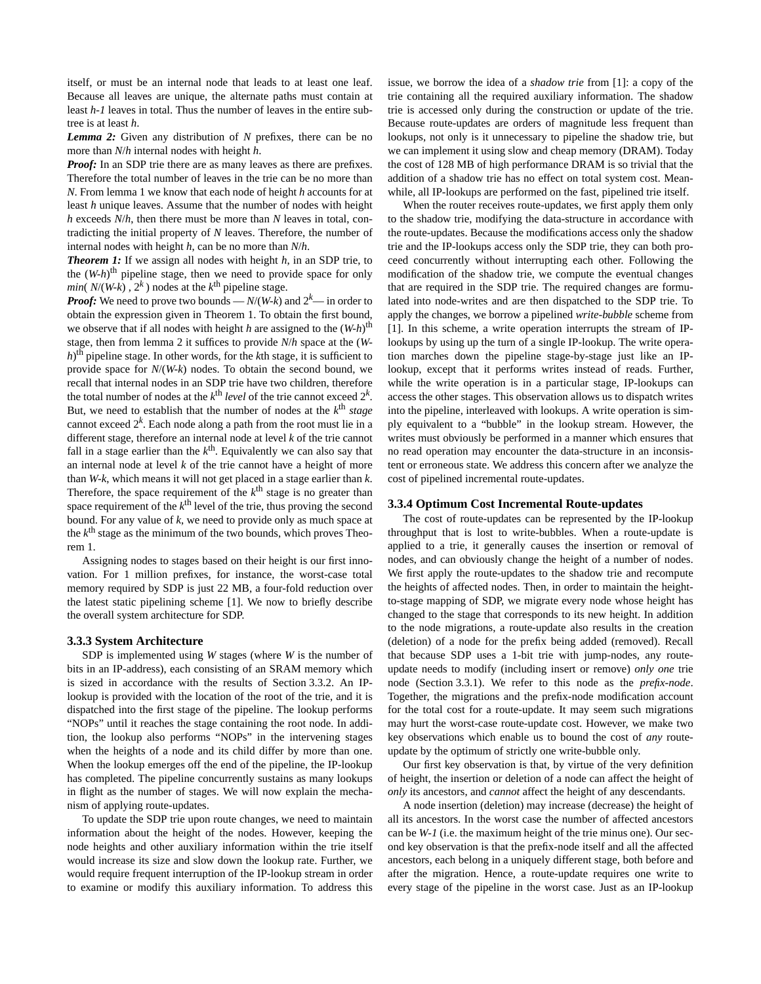itself, or must be an internal node that leads to at least one leaf. Because all leaves are unique, the alternate paths must contain at least *h-1* leaves in total. Thus the number of leaves in the entire subtree is at least *h*.

*Lemma 2:* Given any distribution of *N* prefixes, there can be no more than *N*/*h* internal nodes with height *h*.

*Proof:* In an SDP trie there are as many leaves as there are prefixes. Therefore the total number of leaves in the trie can be no more than *N*. From lemma 1 we know that each node of height *h* accounts for at least *h* unique leaves. Assume that the number of nodes with height *h* exceeds *N*/*h*, then there must be more than *N* leaves in total, contradicting the initial property of *N* leaves. Therefore, the number of internal nodes with height *h*, can be no more than *N*/*h*.

*Theorem 1:* If we assign all nodes with height *h*, in an SDP trie, to the  $(W-h)$ <sup>th</sup> pipeline stage, then we need to provide space for only *min*( $N/(W-k)$ ,  $2^k$ ) nodes at the  $k$ <sup>th</sup> pipeline stage.

*Proof:* We need to prove two bounds —  $N/(W-k)$  and  $2^k$ — in order to obtain the expression given in Theorem 1. To obtain the first bound, we observe that if all nodes with height *h* are assigned to the (*W*-*h*) th stage, then from lemma 2 it suffices to provide *N*/*h* space at the (*Wh*)<sup>th</sup> pipeline stage. In other words, for the *k*th stage, it is sufficient to provide space for *N*/(*W*-*k*) nodes. To obtain the second bound, we recall that internal nodes in an SDP trie have two children, therefore the total number of nodes at the  $k^{\text{th}}$  *level* of the trie cannot exceed  $2^k$ . But, we need to establish that the number of nodes at the  $k^{\text{th}}$  *stage* cannot exceed  $2^k$ . Each node along a path from the root must lie in a different stage, therefore an internal node at level *k* of the trie cannot fall in a stage earlier than the  $k<sup>th</sup>$ . Equivalently we can also say that an internal node at level *k* of the trie cannot have a height of more than *W-k*, which means it will not get placed in a stage earlier than *k*. Therefore, the space requirement of the  $k<sup>th</sup>$  stage is no greater than space requirement of the  $k<sup>th</sup>$  level of the trie, thus proving the second bound. For any value of *k*, we need to provide only as much space at the  $k<sup>th</sup>$  stage as the minimum of the two bounds, which proves Theorem 1.

Assigning nodes to stages based on their height is our first innovation. For 1 million prefixes, for instance, the worst-case total memory required by SDP is just 22 MB, a four-fold reduction over the latest static pipelining scheme [\[1\].](#page-11-2) We now to briefly describe the overall system architecture for SDP.

### <span id="page-6-0"></span>**3.3.3 System Architecture**

SDP is implemented using *W* stages (where *W* is the number of bits in an IP-address), each consisting of an SRAM memory which is sized in accordance with the results of [Section 3.3.2.](#page-5-0) An IPlookup is provided with the location of the root of the trie, and it is dispatched into the first stage of the pipeline. The lookup performs "NOPs" until it reaches the stage containing the root node. In addition, the lookup also performs "NOPs" in the intervening stages when the heights of a node and its child differ by more than one. When the lookup emerges off the end of the pipeline, the IP-lookup has completed. The pipeline concurrently sustains as many lookups in flight as the number of stages. We will now explain the mechanism of applying route-updates.

To update the SDP trie upon route changes, we need to maintain information about the height of the nodes. However, keeping the node heights and other auxiliary information within the trie itself would increase its size and slow down the lookup rate. Further, we would require frequent interruption of the IP-lookup stream in order to examine or modify this auxiliary information. To address this

issue, we borrow the idea of a *shadow trie* from [\[1\]:](#page-11-2) a copy of the trie containing all the required auxiliary information. The shadow trie is accessed only during the construction or update of the trie. Because route-updates are orders of magnitude less frequent than lookups, not only is it unnecessary to pipeline the shadow trie, but we can implement it using slow and cheap memory (DRAM). Today the cost of 128 MB of high performance DRAM is so trivial that the addition of a shadow trie has no effect on total system cost. Meanwhile, all IP-lookups are performed on the fast, pipelined trie itself.

When the router receives route-updates, we first apply them only to the shadow trie, modifying the data-structure in accordance with the route-updates. Because the modifications access only the shadow trie and the IP-lookups access only the SDP trie, they can both proceed concurrently without interrupting each other. Following the modification of the shadow trie, we compute the eventual changes that are required in the SDP trie. The required changes are formulated into node-writes and are then dispatched to the SDP trie. To apply the changes, we borrow a pipelined *write-bubble* scheme from [\[1\].](#page-11-2) In this scheme, a write operation interrupts the stream of IPlookups by using up the turn of a single IP-lookup. The write operation marches down the pipeline stage-by-stage just like an IPlookup, except that it performs writes instead of reads. Further, while the write operation is in a particular stage, IP-lookups can access the other stages. This observation allows us to dispatch writes into the pipeline, interleaved with lookups. A write operation is simply equivalent to a "bubble" in the lookup stream. However, the writes must obviously be performed in a manner which ensures that no read operation may encounter the data-structure in an inconsistent or erroneous state. We address this concern after we analyze the cost of pipelined incremental route-updates.

#### **3.3.4 Optimum Cost Incremental Route-updates**

The cost of route-updates can be represented by the IP-lookup throughput that is lost to write-bubbles. When a route-update is applied to a trie, it generally causes the insertion or removal of nodes, and can obviously change the height of a number of nodes. We first apply the route-updates to the shadow trie and recompute the heights of affected nodes. Then, in order to maintain the heightto-stage mapping of SDP, we migrate every node whose height has changed to the stage that corresponds to its new height. In addition to the node migrations, a route-update also results in the creation (deletion) of a node for the prefix being added (removed). Recall that because SDP uses a 1-bit trie with jump-nodes, any routeupdate needs to modify (including insert or remove) *only one* trie node ([Section 3.3.1\)](#page-4-2). We refer to this node as the *prefix-node*. Together, the migrations and the prefix-node modification account for the total cost for a route-update. It may seem such migrations may hurt the worst-case route-update cost. However, we make two key observations which enable us to bound the cost of *any* routeupdate by the optimum of strictly one write-bubble only.

Our first key observation is that, by virtue of the very definition of height, the insertion or deletion of a node can affect the height of *only* its ancestors, and *cannot* affect the height of any descendants.

A node insertion (deletion) may increase (decrease) the height of all its ancestors. In the worst case the number of affected ancestors can be *W-1* (i.e. the maximum height of the trie minus one). Our second key observation is that the prefix-node itself and all the affected ancestors, each belong in a uniquely different stage, both before and after the migration. Hence, a route-update requires one write to every stage of the pipeline in the worst case. Just as an IP-lookup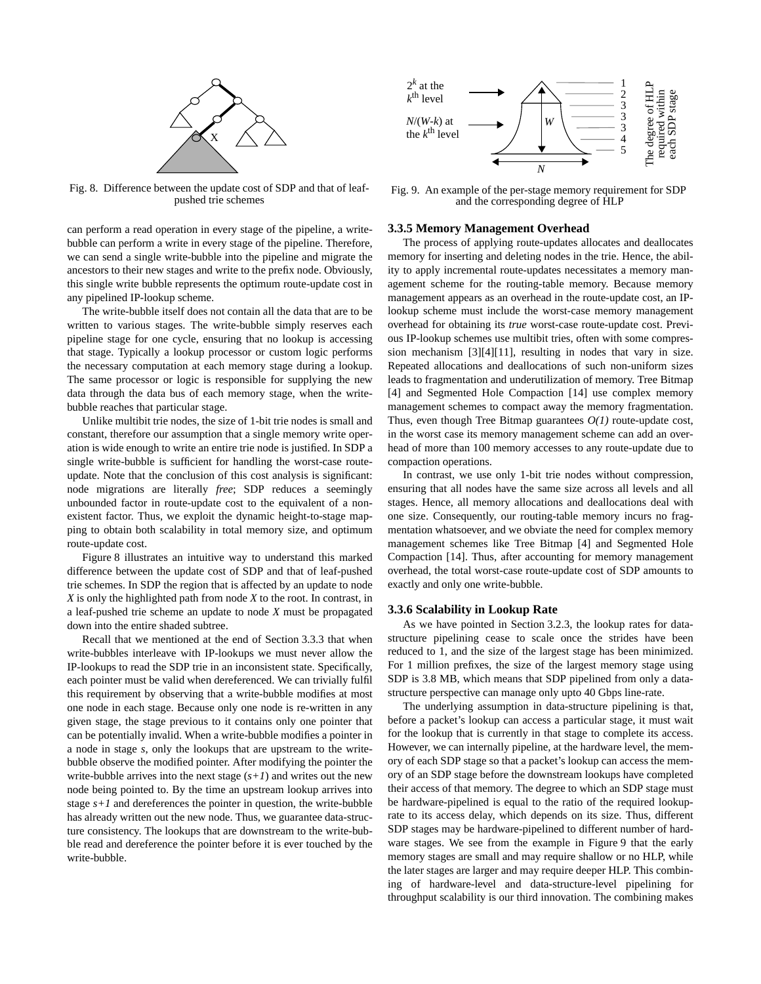

<span id="page-7-0"></span>Fig. 8. Difference between the update cost of SDP and that of leafpushed trie schemes

can perform a read operation in every stage of the pipeline, a writebubble can perform a write in every stage of the pipeline. Therefore, we can send a single write-bubble into the pipeline and migrate the ancestors to their new stages and write to the prefix node. Obviously, this single write bubble represents the optimum route-update cost in any pipelined IP-lookup scheme.

The write-bubble itself does not contain all the data that are to be written to various stages. The write-bubble simply reserves each pipeline stage for one cycle, ensuring that no lookup is accessing that stage. Typically a lookup processor or custom logic performs the necessary computation at each memory stage during a lookup. The same processor or logic is responsible for supplying the new data through the data bus of each memory stage, when the writebubble reaches that particular stage.

Unlike multibit trie nodes, the size of 1-bit trie nodes is small and constant, therefore our assumption that a single memory write operation is wide enough to write an entire trie node is justified. In SDP a single write-bubble is sufficient for handling the worst-case routeupdate. Note that the conclusion of this cost analysis is significant: node migrations are literally *free*; SDP reduces a seemingly unbounded factor in route-update cost to the equivalent of a nonexistent factor. Thus, we exploit the dynamic height-to-stage mapping to obtain both scalability in total memory size, and optimum route-update cost.

[Figure 8](#page-7-0) illustrates an intuitive way to understand this marked difference between the update cost of SDP and that of leaf-pushed trie schemes. In SDP the region that is affected by an update to node *X* is only the highlighted path from node *X* to the root. In contrast, in a leaf-pushed trie scheme an update to node *X* must be propagated down into the entire shaded subtree.

Recall that we mentioned at the end of [Section 3.3.3](#page-6-0) that when write-bubbles interleave with IP-lookups we must never allow the IP-lookups to read the SDP trie in an inconsistent state. Specifically, each pointer must be valid when dereferenced. We can trivially fulfil this requirement by observing that a write-bubble modifies at most one node in each stage. Because only one node is re-written in any given stage, the stage previous to it contains only one pointer that can be potentially invalid. When a write-bubble modifies a pointer in a node in stage *s*, only the lookups that are upstream to the writebubble observe the modified pointer. After modifying the pointer the write-bubble arrives into the next stage  $(s+1)$  and writes out the new node being pointed to. By the time an upstream lookup arrives into stage  $s+1$  and dereferences the pointer in question, the write-bubble has already written out the new node. Thus, we guarantee data-structure consistency. The lookups that are downstream to the write-bubble read and dereference the pointer before it is ever touched by the write-bubble.



<span id="page-7-1"></span>Fig. 9. An example of the per-stage memory requirement for SDP and the corresponding degree of HLP

#### <span id="page-7-2"></span>**3.3.5 Memory Management Overhead**

The process of applying route-updates allocates and deallocates memory for inserting and deleting nodes in the trie. Hence, the ability to apply incremental route-updates necessitates a memory management scheme for the routing-table memory. Because memory management appears as an overhead in the route-update cost, an IPlookup scheme must include the worst-case memory management overhead for obtaining its *true* worst-case route-update cost. Previous IP-lookup schemes use multibit tries, often with some compression mechanism [\[3\]](#page-11-3)[\[4\]](#page-11-4)[\[11\],](#page-11-5) resulting in nodes that vary in size. Repeated allocations and deallocations of such non-uniform sizes leads to fragmentation and underutilization of memory. Tree Bitmap [\[4\]](#page-11-4) and Segmented Hole Compaction [\[14\]](#page-11-7) use complex memory management schemes to compact away the memory fragmentation. Thus, even though Tree Bitmap guarantees *O(1)* route-update cost, in the worst case its memory management scheme can add an overhead of more than 100 memory accesses to any route-update due to compaction operations.

In contrast, we use only 1-bit trie nodes without compression, ensuring that all nodes have the same size across all levels and all stages. Hence, all memory allocations and deallocations deal with one size. Consequently, our routing-table memory incurs no fragmentation whatsoever*,* and we obviate the need for complex memory management schemes like Tree Bitmap [\[4\]](#page-11-4) and Segmented Hole Compaction [\[14\]](#page-11-7). Thus, after accounting for memory management overhead, the total worst-case route-update cost of SDP amounts to exactly and only one write-bubble.

#### **3.3.6 Scalability in Lookup Rate**

As we have pointed in [Section 3.2.3,](#page-4-3) the lookup rates for datastructure pipelining cease to scale once the strides have been reduced to 1, and the size of the largest stage has been minimized. For 1 million prefixes, the size of the largest memory stage using SDP is 3.8 MB, which means that SDP pipelined from only a datastructure perspective can manage only upto 40 Gbps line-rate.

The underlying assumption in data-structure pipelining is that, before a packet's lookup can access a particular stage, it must wait for the lookup that is currently in that stage to complete its access. However, we can internally pipeline, at the hardware level, the memory of each SDP stage so that a packet's lookup can access the memory of an SDP stage before the downstream lookups have completed their access of that memory. The degree to which an SDP stage must be hardware-pipelined is equal to the ratio of the required lookuprate to its access delay, which depends on its size. Thus, different SDP stages may be hardware-pipelined to different number of hardware stages. We see from the example in [Figure 9](#page-7-1) that the early memory stages are small and may require shallow or no HLP, while the later stages are larger and may require deeper HLP. This combining of hardware-level and data-structure-level pipelining for throughput scalability is our third innovation. The combining makes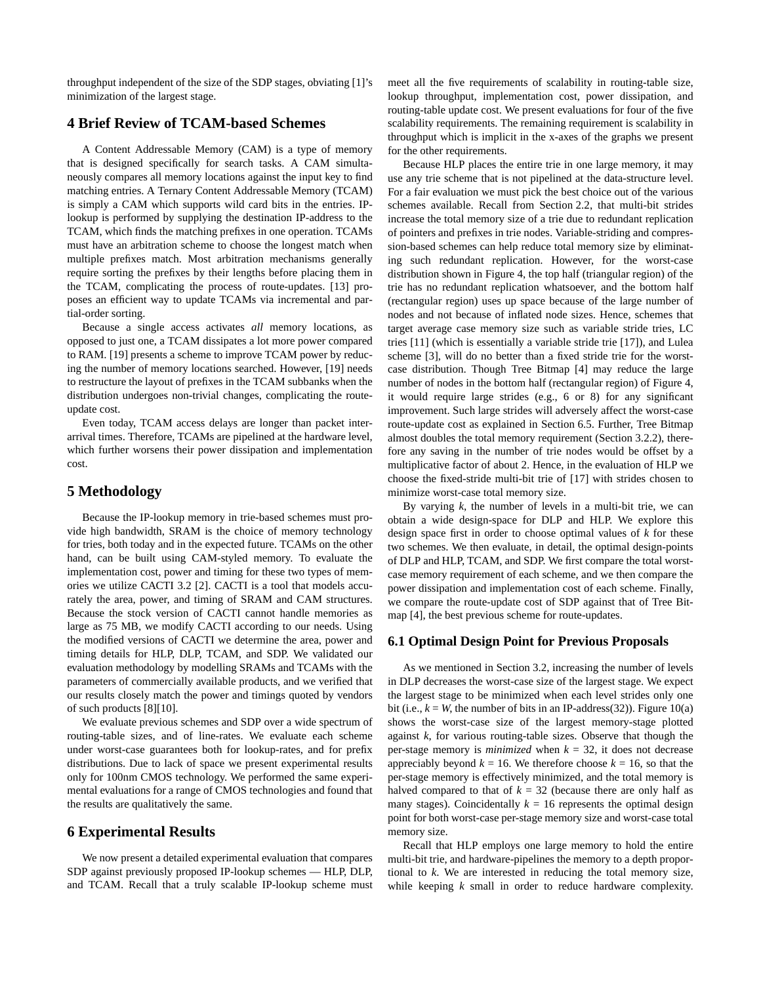throughput independent of the size of the SDP stages, obviating [\[1\]'](#page-11-2)s minimization of the largest stage.

# <span id="page-8-0"></span>**4 Brief Review of TCAM-based Schemes**

A Content Addressable Memory (CAM) is a type of memory that is designed specifically for search tasks. A CAM simultaneously compares all memory locations against the input key to find matching entries. A Ternary Content Addressable Memory (TCAM) is simply a CAM which supports wild card bits in the entries. IPlookup is performed by supplying the destination IP-address to the TCAM, which finds the matching prefixes in one operation. TCAMs must have an arbitration scheme to choose the longest match when multiple prefixes match. Most arbitration mechanisms generally require sorting the prefixes by their lengths before placing them in the TCAM, complicating the process of route-updates. [\[13\]](#page-11-6) proposes an efficient way to update TCAMs via incremental and partial-order sorting.

Because a single access activates *all* memory locations, as opposed to just one, a TCAM dissipates a lot more power compared to RAM. [\[19\]](#page-11-10) presents a scheme to improve TCAM power by reducing the number of memory locations searched. However, [\[19\]](#page-11-10) needs to restructure the layout of prefixes in the TCAM subbanks when the distribution undergoes non-trivial changes, complicating the routeupdate cost.

Even today, TCAM access delays are longer than packet interarrival times. Therefore, TCAMs are pipelined at the hardware level, which further worsens their power dissipation and implementation cost.

# <span id="page-8-1"></span>**5 Methodology**

Because the IP-lookup memory in trie-based schemes must provide high bandwidth, SRAM is the choice of memory technology for tries, both today and in the expected future. TCAMs on the other hand, can be built using CAM-styled memory. To evaluate the implementation cost, power and timing for these two types of memories we utilize CACTI 3.2 [\[2\].](#page-11-14) CACTI is a tool that models accurately the area, power, and timing of SRAM and CAM structures. Because the stock version of CACTI cannot handle memories as large as 75 MB, we modify CACTI according to our needs. Using the modified versions of CACTI we determine the area, power and timing details for HLP, DLP, TCAM, and SDP. We validated our evaluation methodology by modelling SRAMs and TCAMs with the parameters of commercially available products, and we verified that our results closely match the power and timings quoted by vendors of such products [\[8\]](#page-11-15)[\[10\]](#page-11-16).

We evaluate previous schemes and SDP over a wide spectrum of routing-table sizes, and of line-rates. We evaluate each scheme under worst-case guarantees both for lookup-rates, and for prefix distributions. Due to lack of space we present experimental results only for 100nm CMOS technology. We performed the same experimental evaluations for a range of CMOS technologies and found that the results are qualitatively the same.

# <span id="page-8-2"></span>**6 Experimental Results**

We now present a detailed experimental evaluation that compares SDP against previously proposed IP-lookup schemes — HLP, DLP, and TCAM. Recall that a truly scalable IP-lookup scheme must meet all the five requirements of scalability in routing-table size, lookup throughput, implementation cost, power dissipation, and routing-table update cost. We present evaluations for four of the five scalability requirements. The remaining requirement is scalability in throughput which is implicit in the x-axes of the graphs we present for the other requirements.

Because HLP places the entire trie in one large memory, it may use any trie scheme that is not pipelined at the data-structure level. For a fair evaluation we must pick the best choice out of the various schemes available. Recall from [Section 2.2,](#page-2-4) that multi-bit strides increase the total memory size of a trie due to redundant replication of pointers and prefixes in trie nodes. Variable-striding and compression-based schemes can help reduce total memory size by eliminating such redundant replication. However, for the worst-case distribution shown in [Figure 4,](#page-3-3) the top half (triangular region) of the trie has no redundant replication whatsoever, and the bottom half (rectangular region) uses up space because of the large number of nodes and not because of inflated node sizes. Hence, schemes that target average case memory size such as variable stride tries, LC tries [\[11\]](#page-11-5) (which is essentially a variable stride trie [\[17\]](#page-11-9)), and Lulea scheme [\[3\],](#page-11-3) will do no better than a fixed stride trie for the worstcase distribution. Though Tree Bitmap [\[4\]](#page-11-4) may reduce the large number of nodes in the bottom half (rectangular region) of [Figure 4,](#page-3-3) it would require large strides (e.g., 6 or 8) for any significant improvement. Such large strides will adversely affect the worst-case route-update cost as explained in [Section 6.5](#page-10-0). Further, Tree Bitmap almost doubles the total memory requirement [\(Section 3.2.2](#page-4-4)), therefore any saving in the number of trie nodes would be offset by a multiplicative factor of about 2. Hence, in the evaluation of HLP we choose the fixed-stride multi-bit trie of [\[17\]](#page-11-9) with strides chosen to minimize worst-case total memory size.

By varying *k*, the number of levels in a multi-bit trie, we can obtain a wide design-space for DLP and HLP. We explore this design space first in order to choose optimal values of *k* for these two schemes. We then evaluate, in detail, the optimal design-points of DLP and HLP, TCAM, and SDP. We first compare the total worstcase memory requirement of each scheme, and we then compare the power dissipation and implementation cost of each scheme. Finally, we compare the route-update cost of SDP against that of Tree Bitmap [\[4\]](#page-11-4), the best previous scheme for route-updates.

### **6.1 Optimal Design Point for Previous Proposals**

As we mentioned in [Section 3.2](#page-3-1), increasing the number of levels in DLP decreases the worst-case size of the largest stage. We expect the largest stage to be minimized when each level strides only one bit (i.e.,  $k = W$ , the number of bits in an IP-address(32)). [Figure 10](#page-9-1)(a) shows the worst-case size of the largest memory-stage plotted against *k*, for various routing-table sizes. Observe that though the per-stage memory is *minimized* when  $k = 32$ , it does not decrease appreciably beyond  $k = 16$ . We therefore choose  $k = 16$ , so that the per-stage memory is effectively minimized, and the total memory is halved compared to that of  $k = 32$  (because there are only half as many stages). Coincidentally  $k = 16$  represents the optimal design point for both worst-case per-stage memory size and worst-case total memory size.

Recall that HLP employs one large memory to hold the entire multi-bit trie, and hardware-pipelines the memory to a depth proportional to *k*. We are interested in reducing the total memory size, while keeping *k* small in order to reduce hardware complexity.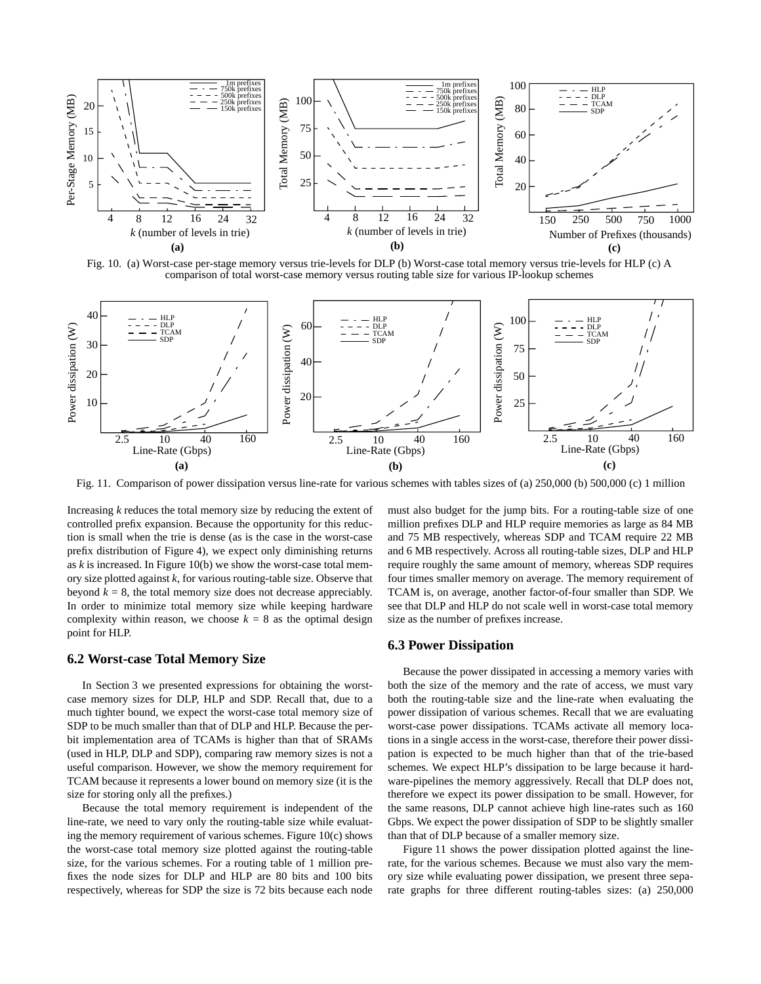

<span id="page-9-1"></span>Fig. 10. (a) Worst-case per-stage memory versus trie-levels for DLP (b) Worst-case total memory versus trie-levels for HLP (c) A comparison of total worst-case memory versus routing table size for various IP-lookup schemes



<span id="page-9-2"></span>Fig. 11. Comparison of power dissipation versus line-rate for various schemes with tables sizes of (a) 250,000 (b) 500,000 (c) 1 million

Increasing *k* reduces the total memory size by reducing the extent of controlled prefix expansion. Because the opportunity for this reduction is small when the trie is dense (as is the case in the worst-case prefix distribution of [Figure 4\)](#page-3-3), we expect only diminishing returns as *k* is increased. In [Figure 10\(](#page-9-1)b) we show the worst-case total memory size plotted against *k*, for various routing-table size. Observe that beyond  $k = 8$ , the total memory size does not decrease appreciably. In order to minimize total memory size while keeping hardware complexity within reason, we choose  $k = 8$  as the optimal design point for HLP.

### <span id="page-9-0"></span>**6.2 Worst-case Total Memory Size**

In [Section 3](#page-2-0) we presented expressions for obtaining the worstcase memory sizes for DLP, HLP and SDP. Recall that, due to a much tighter bound, we expect the worst-case total memory size of SDP to be much smaller than that of DLP and HLP. Because the perbit implementation area of TCAMs is higher than that of SRAMs (used in HLP, DLP and SDP), comparing raw memory sizes is not a useful comparison. However, we show the memory requirement for TCAM because it represents a lower bound on memory size (it is the size for storing only all the prefixes.)

Because the total memory requirement is independent of the line-rate, we need to vary only the routing-table size while evaluating the memory requirement of various schemes. [Figure 10\(](#page-9-1)c) shows the worst-case total memory size plotted against the routing-table size, for the various schemes. For a routing table of 1 million prefixes the node sizes for DLP and HLP are 80 bits and 100 bits respectively, whereas for SDP the size is 72 bits because each node

must also budget for the jump bits. For a routing-table size of one million prefixes DLP and HLP require memories as large as 84 MB and 75 MB respectively, whereas SDP and TCAM require 22 MB and 6 MB respectively. Across all routing-table sizes, DLP and HLP require roughly the same amount of memory, whereas SDP requires four times smaller memory on average. The memory requirement of TCAM is, on average, another factor-of-four smaller than SDP. We see that DLP and HLP do not scale well in worst-case total memory size as the number of prefixes increase.

#### **6.3 Power Dissipation**

Because the power dissipated in accessing a memory varies with both the size of the memory and the rate of access, we must vary both the routing-table size and the line-rate when evaluating the power dissipation of various schemes. Recall that we are evaluating worst-case power dissipations. TCAMs activate all memory locations in a single access in the worst-case, therefore their power dissipation is expected to be much higher than that of the trie-based schemes. We expect HLP's dissipation to be large because it hardware-pipelines the memory aggressively. Recall that DLP does not, therefore we expect its power dissipation to be small. However, for the same reasons, DLP cannot achieve high line-rates such as 160 Gbps. We expect the power dissipation of SDP to be slightly smaller than that of DLP because of a smaller memory size.

[Figure 11](#page-9-2) shows the power dissipation plotted against the linerate, for the various schemes. Because we must also vary the memory size while evaluating power dissipation, we present three separate graphs for three different routing-tables sizes: (a) 250,000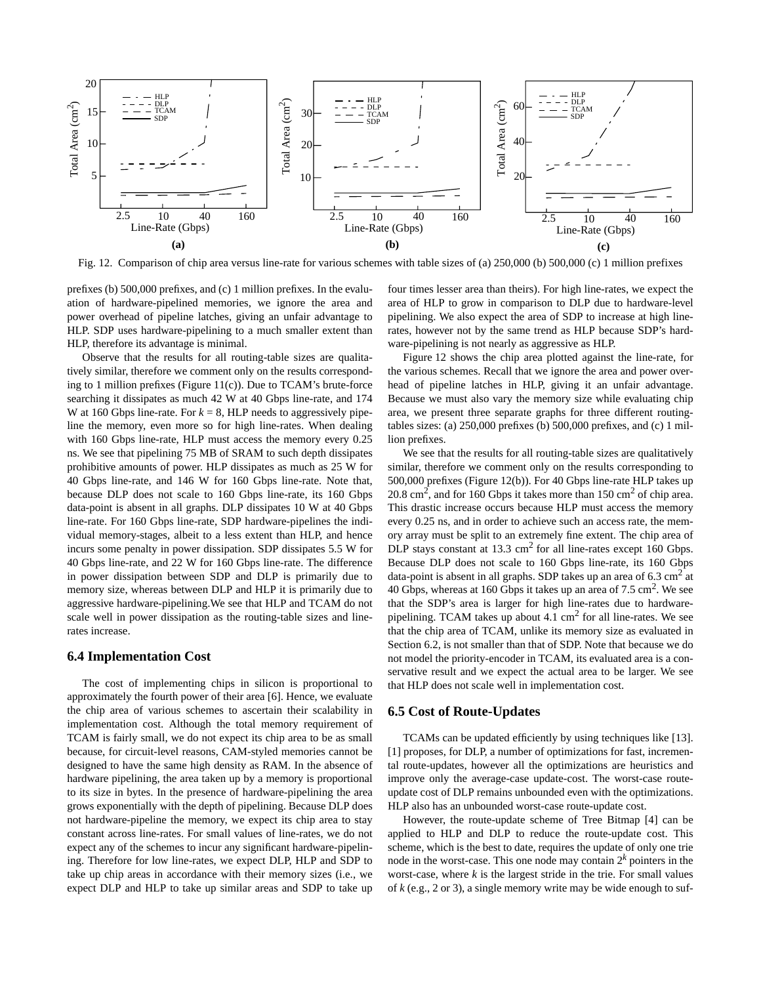

<span id="page-10-1"></span>Fig. 12. Comparison of chip area versus line-rate for various schemes with table sizes of (a) 250,000 (b) 500,000 (c) 1 million prefixes

prefixes (b) 500,000 prefixes, and (c) 1 million prefixes. In the evaluation of hardware-pipelined memories, we ignore the area and power overhead of pipeline latches, giving an unfair advantage to HLP. SDP uses hardware-pipelining to a much smaller extent than HLP, therefore its advantage is minimal.

Observe that the results for all routing-table sizes are qualitatively similar, therefore we comment only on the results corresponding to 1 million prefixes [\(Figure 11](#page-9-2)(c)). Due to TCAM's brute-force searching it dissipates as much 42 W at 40 Gbps line-rate, and 174 W at 160 Gbps line-rate. For  $k = 8$ , HLP needs to aggressively pipeline the memory, even more so for high line-rates. When dealing with 160 Gbps line-rate, HLP must access the memory every 0.25 ns. We see that pipelining 75 MB of SRAM to such depth dissipates prohibitive amounts of power. HLP dissipates as much as 25 W for 40 Gbps line-rate, and 146 W for 160 Gbps line-rate. Note that, because DLP does not scale to 160 Gbps line-rate, its 160 Gbps data-point is absent in all graphs. DLP dissipates 10 W at 40 Gbps line-rate. For 160 Gbps line-rate, SDP hardware-pipelines the individual memory-stages, albeit to a less extent than HLP, and hence incurs some penalty in power dissipation. SDP dissipates 5.5 W for 40 Gbps line-rate, and 22 W for 160 Gbps line-rate. The difference in power dissipation between SDP and DLP is primarily due to memory size, whereas between DLP and HLP it is primarily due to aggressive hardware-pipelining.We see that HLP and TCAM do not scale well in power dissipation as the routing-table sizes and linerates increase.

# <span id="page-10-2"></span>**6.4 Implementation Cost**

The cost of implementing chips in silicon is proportional to approximately the fourth power of their area [\[6\].](#page-11-17) Hence, we evaluate the chip area of various schemes to ascertain their scalability in implementation cost. Although the total memory requirement of TCAM is fairly small, we do not expect its chip area to be as small because, for circuit-level reasons, CAM-styled memories cannot be designed to have the same high density as RAM. In the absence of hardware pipelining, the area taken up by a memory is proportional to its size in bytes. In the presence of hardware-pipelining the area grows exponentially with the depth of pipelining. Because DLP does not hardware-pipeline the memory, we expect its chip area to stay constant across line-rates. For small values of line-rates, we do not expect any of the schemes to incur any significant hardware-pipelining. Therefore for low line-rates, we expect DLP, HLP and SDP to take up chip areas in accordance with their memory sizes (i.e., we expect DLP and HLP to take up similar areas and SDP to take up

four times lesser area than theirs). For high line-rates, we expect the area of HLP to grow in comparison to DLP due to hardware-level pipelining. We also expect the area of SDP to increase at high linerates, however not by the same trend as HLP because SDP's hardware-pipelining is not nearly as aggressive as HLP.

[Figure 12](#page-10-1) shows the chip area plotted against the line-rate, for the various schemes. Recall that we ignore the area and power overhead of pipeline latches in HLP, giving it an unfair advantage. Because we must also vary the memory size while evaluating chip area, we present three separate graphs for three different routingtables sizes: (a) 250,000 prefixes (b) 500,000 prefixes, and (c) 1 million prefixes.

We see that the results for all routing-table sizes are qualitatively similar, therefore we comment only on the results corresponding to 500,000 prefixes [\(Figure 12\(](#page-10-1)b)). For 40 Gbps line-rate HLP takes up 20.8 cm<sup>2</sup>, and for 160 Gbps it takes more than 150 cm<sup>2</sup> of chip area. This drastic increase occurs because HLP must access the memory every 0.25 ns, and in order to achieve such an access rate, the memory array must be split to an extremely fine extent. The chip area of DLP stays constant at  $13.3 \text{ cm}^2$  for all line-rates except 160 Gbps. Because DLP does not scale to 160 Gbps line-rate, its 160 Gbps data-point is absent in all graphs. SDP takes up an area of  $6.3 \text{ cm}^2$  at 40 Gbps, whereas at 160 Gbps it takes up an area of 7.5 cm<sup>2</sup>. We see that the SDP's area is larger for high line-rates due to hardwarepipelining. TCAM takes up about 4.1  $\text{cm}^2$  for all line-rates. We see that the chip area of TCAM, unlike its memory size as evaluated in [Section 6.2,](#page-9-0) is not smaller than that of SDP. Note that because we do not model the priority-encoder in TCAM, its evaluated area is a conservative result and we expect the actual area to be larger. We see that HLP does not scale well in implementation cost.

### <span id="page-10-0"></span>**6.5 Cost of Route-Updates**

TCAMs can be updated efficiently by using techniques like [\[13\].](#page-11-6) [\[1\]](#page-11-2) proposes, for DLP, a number of optimizations for fast, incremental route-updates, however all the optimizations are heuristics and improve only the average-case update-cost. The worst-case routeupdate cost of DLP remains unbounded even with the optimizations. HLP also has an unbounded worst-case route-update cost.

However, the route-update scheme of Tree Bitmap [\[4\]](#page-11-4) can be applied to HLP and DLP to reduce the route-update cost. This scheme, which is the best to date, requires the update of only one trie node in the worst-case. This one node may contain  $2^k$  pointers in the worst-case, where *k* is the largest stride in the trie. For small values of *k* (e.g., 2 or 3), a single memory write may be wide enough to suf